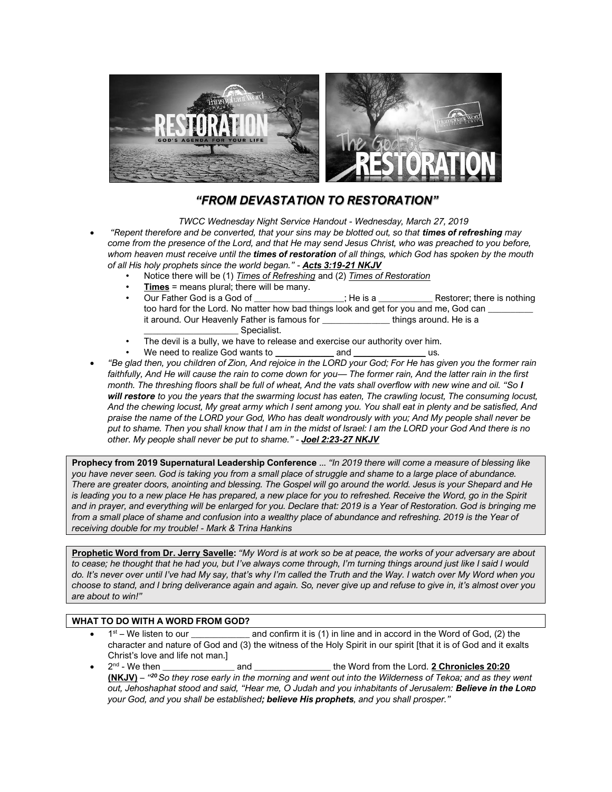

## *"FROM DEVASTATION TO RESTORATION"*

*TWCC Wednesday Night Service Handout - Wednesday, March 27, 2019* • *"Repent therefore and be converted, that your sins may be blotted out, so that times of refreshing may come from the presence of the Lord, and that He may send Jesus Christ, who was preached to you before, whom heaven must receive until the times of restoration of all things, which God has spoken by the mouth of all His holy prophets since the world began." - Acts 3:19-21 NKJV*

- Notice there will be (1) *Times of Refreshing* and (2) *Times of Restoration*
- **Times** = means plural; there will be many.
- Our Father God is a God of \_\_\_\_\_\_\_\_\_\_\_\_\_\_\_\_\_\_\_\_; He is a \_\_\_\_\_\_\_\_\_\_\_\_ Restorer; there is nothing too hard for the Lord. No matter how bad things look and get for you and me, God can it around. Our Heavenly Father is famous for The Mothings around. He is a
- Specialist. The devil is a bully, we have to release and exercise our authority over him.
- We need to realize God wants to *\_\_\_\_\_\_\_\_\_\_\_\_\_* and *\_\_\_\_\_\_\_\_\_\_\_\_\_\_\_\_* us.
- *"Be glad then, you children of Zion, And rejoice in the LORD your God; For He has given you the former rain faithfully, And He will cause the rain to come down for you— The former rain, And the latter rain in the first month. The threshing floors shall be full of wheat, And the vats shall overflow with new wine and oil. "So I will restore to you the years that the swarming locust has eaten, The crawling locust, The consuming locust, And the chewing locust, My great army which I sent among you. You shall eat in plenty and be satisfied, And praise the name of the LORD your God, Who has dealt wondrously with you; And My people shall never be put to shame. Then you shall know that I am in the midst of Israel: I am the LORD your God And there is no other. My people shall never be put to shame." - Joel 2:23-27 NKJV*

**Prophecy from 2019 Supernatural Leadership Conference** ... *"In 2019 there will come a measure of blessing like you have never seen. God is taking you from a small place of struggle and shame to a large place of abundance. There are greater doors, anointing and blessing. The Gospel will go around the world. Jesus is your Shepard and He*  is leading you to a new place He has prepared, a new place for you to refreshed. Receive the Word, go in the Spirit *and in prayer, and everything will be enlarged for you. Declare that: 2019 is a Year of Restoration. God is bringing me*  from a small place of shame and confusion into a wealthy place of abundance and refreshing. 2019 is the Year of *receiving double for my trouble! - Mark & Trina Hankins* 

**Prophetic Word from Dr. Jerry Savelle:** *"My Word is at work so be at peace, the works of your adversary are about to cease; he thought that he had you, but I've always come through, I'm turning things around just like I said I would do. It's never over until I've had My say, that's why I'm called the Truth and the Way. I watch over My Word when you choose to stand, and I bring deliverance again and again. So, never give up and refuse to give in, it's almost over you are about to win!"*

## **WHAT TO DO WITH A WORD FROM GOD?**

- $1<sup>st</sup>$  We listen to our and confirm it is (1) in line and in accord in the Word of God, (2) the character and nature of God and (3) the witness of the Holy Spirit in our spirit [that it is of God and it exalts Christ's love and life not man.]
- $\bullet$  2<sup>nd</sup> and \_\_\_\_\_\_\_\_\_\_\_\_\_\_\_\_\_\_\_the Word from the Lord. **2 Chronicles 20:20 (NKJV)** – *" <sup>20</sup>So they rose early in the morning and went out into the Wilderness of Tekoa; and as they went out, Jehoshaphat stood and said, "Hear me, O Judah and you inhabitants of Jerusalem: Believe in the LORD your God, and you shall be established; believe His prophets, and you shall prosper."*